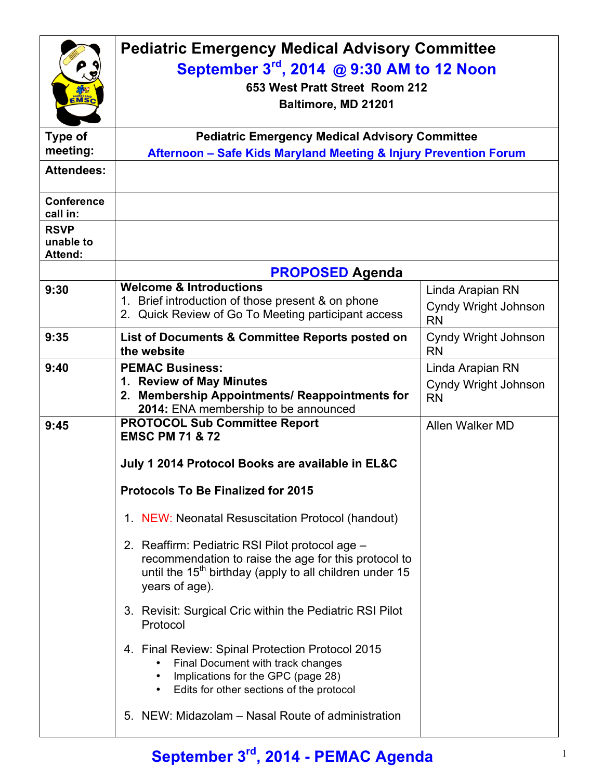| EMSC<br>Type of<br>meeting:<br><b>Attendees:</b> | <b>Pediatric Emergency Medical Advisory Committee</b><br>September 3rd, 2014 @ 9:30 AM to 12 Noon<br>653 West Pratt Street Room 212<br>Baltimore, MD 21201<br><b>Pediatric Emergency Medical Advisory Committee</b><br>Afternoon - Safe Kids Maryland Meeting & Injury Prevention Forum |                                                       |  |
|--------------------------------------------------|-----------------------------------------------------------------------------------------------------------------------------------------------------------------------------------------------------------------------------------------------------------------------------------------|-------------------------------------------------------|--|
| <b>Conference</b><br>call in:<br><b>RSVP</b>     |                                                                                                                                                                                                                                                                                         |                                                       |  |
| unable to<br><b>Attend:</b>                      |                                                                                                                                                                                                                                                                                         |                                                       |  |
|                                                  | <b>PROPOSED Agenda</b>                                                                                                                                                                                                                                                                  |                                                       |  |
| 9:30                                             | <b>Welcome &amp; Introductions</b><br>1. Brief introduction of those present & on phone<br>2. Quick Review of Go To Meeting participant access                                                                                                                                          | Linda Arapian RN<br>Cyndy Wright Johnson<br><b>RN</b> |  |
| 9:35                                             | List of Documents & Committee Reports posted on<br>the website                                                                                                                                                                                                                          | Cyndy Wright Johnson<br><b>RN</b>                     |  |
| 9:40                                             | <b>PEMAC Business:</b><br>1. Review of May Minutes<br>2. Membership Appointments/ Reappointments for<br>2014: ENA membership to be announced                                                                                                                                            | Linda Arapian RN<br>Cyndy Wright Johnson<br><b>RN</b> |  |
| 9:45                                             | <b>PROTOCOL Sub Committee Report</b><br><b>EMSC PM 71 &amp; 72</b><br>July 1 2014 Protocol Books are available in EL&C                                                                                                                                                                  | Allen Walker MD                                       |  |
|                                                  | <b>Protocols To Be Finalized for 2015</b>                                                                                                                                                                                                                                               |                                                       |  |
|                                                  | 1. NEW: Neonatal Resuscitation Protocol (handout)                                                                                                                                                                                                                                       |                                                       |  |
|                                                  | 2. Reaffirm: Pediatric RSI Pilot protocol age -<br>recommendation to raise the age for this protocol to<br>until the 15 <sup>th</sup> birthday (apply to all children under 15<br>years of age).                                                                                        |                                                       |  |
|                                                  | 3. Revisit: Surgical Cric within the Pediatric RSI Pilot<br>Protocol                                                                                                                                                                                                                    |                                                       |  |
|                                                  | 4. Final Review: Spinal Protection Protocol 2015<br>Final Document with track changes<br>Implications for the GPC (page 28)<br>Edits for other sections of the protocol<br>$\bullet$                                                                                                    |                                                       |  |
|                                                  | 5. NEW: Midazolam - Nasal Route of administration                                                                                                                                                                                                                                       |                                                       |  |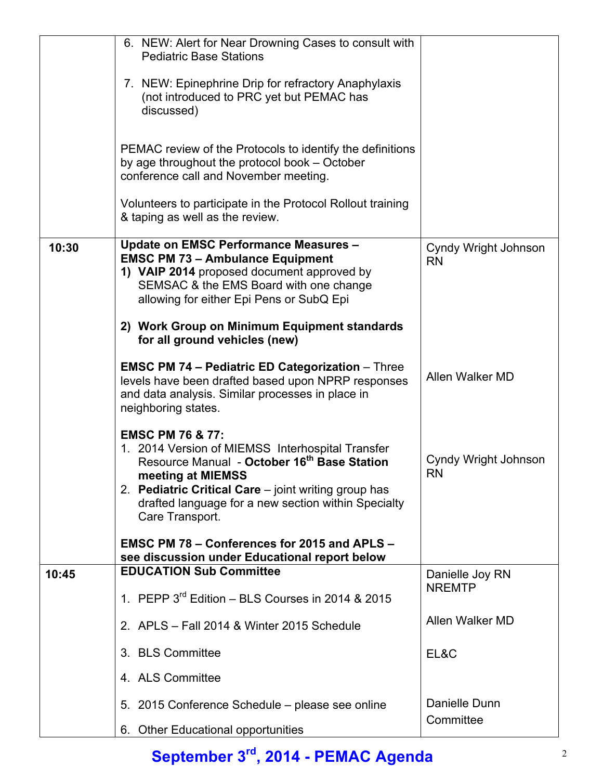|       | 6. NEW: Alert for Near Drowning Cases to consult with<br><b>Pediatric Base Stations</b>                                                                                                                                                                                                           |                                   |
|-------|---------------------------------------------------------------------------------------------------------------------------------------------------------------------------------------------------------------------------------------------------------------------------------------------------|-----------------------------------|
|       | 7. NEW: Epinephrine Drip for refractory Anaphylaxis<br>(not introduced to PRC yet but PEMAC has<br>discussed)                                                                                                                                                                                     |                                   |
|       | PEMAC review of the Protocols to identify the definitions<br>by age throughout the protocol book – October<br>conference call and November meeting.                                                                                                                                               |                                   |
|       | Volunteers to participate in the Protocol Rollout training<br>& taping as well as the review.                                                                                                                                                                                                     |                                   |
| 10:30 | <b>Update on EMSC Performance Measures -</b><br><b>EMSC PM 73 - Ambulance Equipment</b><br>1) VAIP 2014 proposed document approved by<br>SEMSAC & the EMS Board with one change<br>allowing for either Epi Pens or SubQ Epi                                                                       | Cyndy Wright Johnson<br><b>RN</b> |
|       | 2) Work Group on Minimum Equipment standards<br>for all ground vehicles (new)                                                                                                                                                                                                                     |                                   |
|       | <b>EMSC PM 74 - Pediatric ED Categorization - Three</b><br>levels have been drafted based upon NPRP responses<br>and data analysis. Similar processes in place in<br>neighboring states.                                                                                                          | Allen Walker MD                   |
|       | <b>EMSC PM 76 &amp; 77:</b><br>1. 2014 Version of MIEMSS Interhospital Transfer<br>Resource Manual - October 16 <sup>th</sup> Base Station<br>meeting at MIEMSS<br>2. Pediatric Critical Care - joint writing group has<br>drafted language for a new section within Specialty<br>Care Transport. | Cyndy Wright Johnson<br><b>RN</b> |
|       | EMSC PM 78 – Conferences for 2015 and APLS –<br>see discussion under Educational report below                                                                                                                                                                                                     |                                   |
| 10:45 | <b>EDUCATION Sub Committee</b>                                                                                                                                                                                                                                                                    | Danielle Joy RN                   |
|       | 1. PEPP $3^{rd}$ Edition – BLS Courses in 2014 & 2015                                                                                                                                                                                                                                             | <b>NREMTP</b>                     |
|       | 2. APLS - Fall 2014 & Winter 2015 Schedule                                                                                                                                                                                                                                                        | Allen Walker MD                   |
|       | 3. BLS Committee                                                                                                                                                                                                                                                                                  | EL&C                              |
|       | 4. ALS Committee                                                                                                                                                                                                                                                                                  |                                   |
|       | 5. 2015 Conference Schedule – please see online                                                                                                                                                                                                                                                   | Danielle Dunn                     |
|       | 6. Other Educational opportunities                                                                                                                                                                                                                                                                | Committee                         |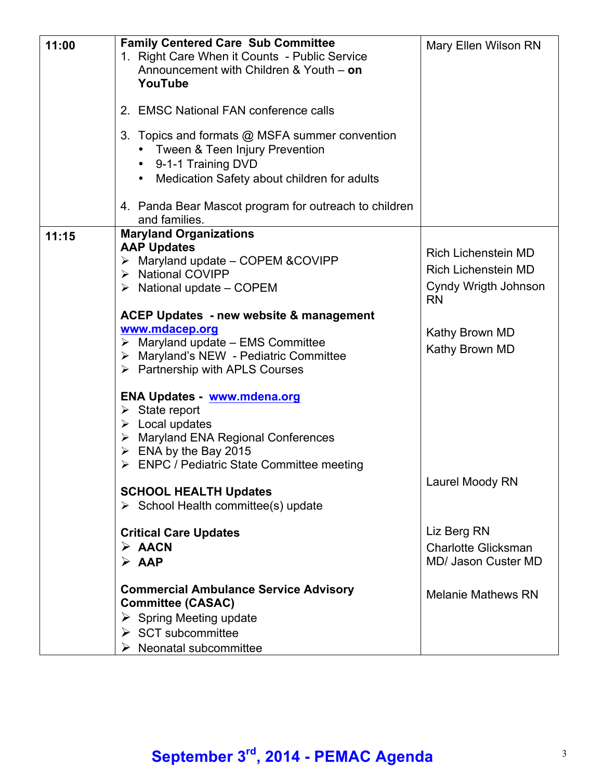| 11:00 | <b>Family Centered Care Sub Committee</b><br>1. Right Care When it Counts - Public Service<br>Announcement with Children & Youth - on                                             | Mary Ellen Wilson RN                                     |
|-------|-----------------------------------------------------------------------------------------------------------------------------------------------------------------------------------|----------------------------------------------------------|
|       | YouTube                                                                                                                                                                           |                                                          |
|       | 2. EMSC National FAN conference calls                                                                                                                                             |                                                          |
|       | 3. Topics and formats @ MSFA summer convention<br>• Tween & Teen Injury Prevention<br>9-1-1 Training DVD<br>$\bullet$<br>Medication Safety about children for adults<br>$\bullet$ |                                                          |
|       | 4. Panda Bear Mascot program for outreach to children<br>and families.                                                                                                            |                                                          |
| 11:15 | <b>Maryland Organizations</b><br><b>AAP Updates</b>                                                                                                                               |                                                          |
|       | > Maryland update - COPEM & COVIPP                                                                                                                                                | <b>Rich Lichenstein MD</b><br><b>Rich Lichenstein MD</b> |
|       | > National COVIPP<br>$\triangleright$ National update – COPEM                                                                                                                     | Cyndy Wrigth Johnson<br><b>RN</b>                        |
|       | ACEP Updates - new website & management                                                                                                                                           |                                                          |
|       | www.mdacep.org<br>$\triangleright$ Maryland update – EMS Committee                                                                                                                | Kathy Brown MD                                           |
|       | > Maryland's NEW - Pediatric Committee<br>$\triangleright$ Partnership with APLS Courses                                                                                          | Kathy Brown MD                                           |
|       | <b>ENA Updates - www.mdena.org</b>                                                                                                                                                |                                                          |
|       | $\triangleright$ State report<br>$\triangleright$ Local updates                                                                                                                   |                                                          |
|       | > Maryland ENA Regional Conferences                                                                                                                                               |                                                          |
|       | $\triangleright$ ENA by the Bay 2015<br>$\triangleright$ ENPC / Pediatric State Committee meeting                                                                                 |                                                          |
|       |                                                                                                                                                                                   | Laurel Moody RN                                          |
|       | <b>SCHOOL HEALTH Updates</b><br>$\triangleright$ School Health committee(s) update                                                                                                |                                                          |
|       | <b>Critical Care Updates</b>                                                                                                                                                      | Liz Berg RN                                              |
|       | $\triangleright$ AACN<br>$\triangleright$ AAP                                                                                                                                     | <b>Charlotte Glicksman</b><br>MD/ Jason Custer MD        |
|       |                                                                                                                                                                                   |                                                          |
|       | <b>Commercial Ambulance Service Advisory</b><br><b>Committee (CASAC)</b>                                                                                                          | <b>Melanie Mathews RN</b>                                |
|       | $\triangleright$ Spring Meeting update                                                                                                                                            |                                                          |
|       | $\triangleright$ SCT subcommittee                                                                                                                                                 |                                                          |
|       | $\triangleright$ Neonatal subcommittee                                                                                                                                            |                                                          |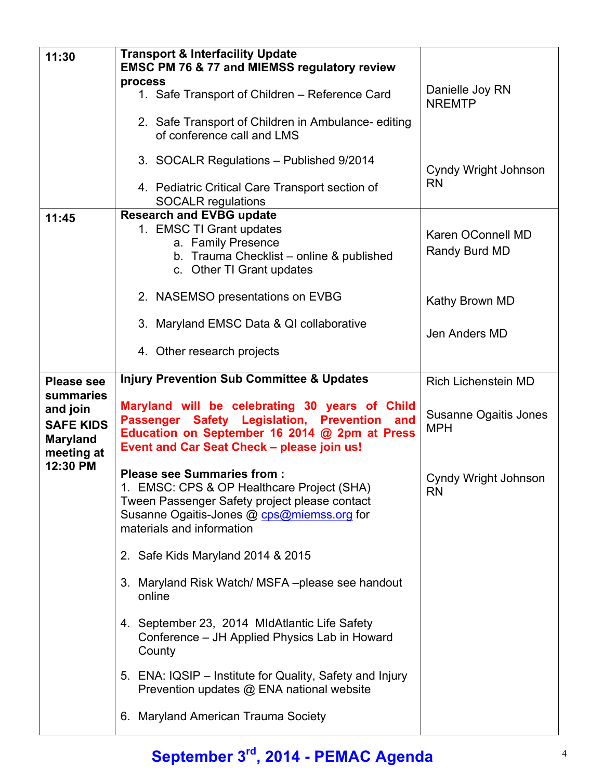| 11:30             | <b>Transport &amp; Interfacility Update</b><br><b>EMSC PM 76 &amp; 77 and MIEMSS regulatory review</b> |                                  |
|-------------------|--------------------------------------------------------------------------------------------------------|----------------------------------|
|                   | process<br>1. Safe Transport of Children - Reference Card                                              | Danielle Joy RN<br><b>NREMTP</b> |
|                   | 2. Safe Transport of Children in Ambulance-editing<br>of conference call and LMS                       |                                  |
|                   | 3. SOCALR Regulations - Published 9/2014                                                               | Cyndy Wright Johnson             |
|                   | 4. Pediatric Critical Care Transport section of<br><b>SOCALR regulations</b>                           | <b>RN</b>                        |
| 11:45             | <b>Research and EVBG update</b>                                                                        |                                  |
|                   |                                                                                                        |                                  |
|                   | 1. EMSC TI Grant updates                                                                               | Karen OConnell MD                |
|                   | a. Family Presence                                                                                     |                                  |
|                   | b. Trauma Checklist - online & published                                                               | Randy Burd MD                    |
|                   |                                                                                                        |                                  |
|                   | c. Other TI Grant updates                                                                              |                                  |
|                   |                                                                                                        |                                  |
|                   | 2. NASEMSO presentations on EVBG                                                                       |                                  |
|                   |                                                                                                        | Kathy Brown MD                   |
|                   |                                                                                                        |                                  |
|                   | 3. Maryland EMSC Data & QI collaborative                                                               |                                  |
|                   |                                                                                                        | Jen Anders MD                    |
|                   | 4. Other research projects                                                                             |                                  |
|                   |                                                                                                        |                                  |
|                   |                                                                                                        |                                  |
| <b>Please see</b> | <b>Injury Prevention Sub Committee &amp; Updates</b>                                                   | <b>Rich Lichenstein MD</b>       |
|                   |                                                                                                        |                                  |
| summaries         |                                                                                                        |                                  |
|                   | Maryland will be celebrating 30 years of Child                                                         |                                  |
| and join          |                                                                                                        | Susanne Ogaitis Jones            |
| <b>SAFE KIDS</b>  | Passenger Safety Legislation, Prevention and                                                           | <b>MPH</b>                       |
|                   | Education on September 16 2014 @ 2pm at Press                                                          |                                  |
| <b>Maryland</b>   | Event and Car Seat Check - please join us!                                                             |                                  |
| meeting at        |                                                                                                        |                                  |
| 12:30 PM          |                                                                                                        |                                  |
|                   | <b>Please see Summaries from:</b>                                                                      | Cyndy Wright Johnson             |
|                   | 1. EMSC: CPS & OP Healthcare Project (SHA)                                                             | <b>RN</b>                        |
|                   | Tween Passenger Safety project please contact                                                          |                                  |
|                   |                                                                                                        |                                  |
|                   | Susanne Ogaitis-Jones @ cps@miemss.org for                                                             |                                  |
|                   | materials and information                                                                              |                                  |
|                   |                                                                                                        |                                  |
|                   | 2. Safe Kids Maryland 2014 & 2015                                                                      |                                  |
|                   | 3. Maryland Risk Watch/ MSFA-please see handout                                                        |                                  |
|                   | online                                                                                                 |                                  |
|                   |                                                                                                        |                                  |
|                   | 4. September 23, 2014 MidAtlantic Life Safety                                                          |                                  |
|                   | Conference - JH Applied Physics Lab in Howard                                                          |                                  |
|                   | County                                                                                                 |                                  |
|                   |                                                                                                        |                                  |
|                   |                                                                                                        |                                  |
|                   | 5. ENA: IQSIP – Institute for Quality, Safety and Injury                                               |                                  |
|                   | Prevention updates @ ENA national website                                                              |                                  |
|                   |                                                                                                        |                                  |
|                   | 6. Maryland American Trauma Society                                                                    |                                  |